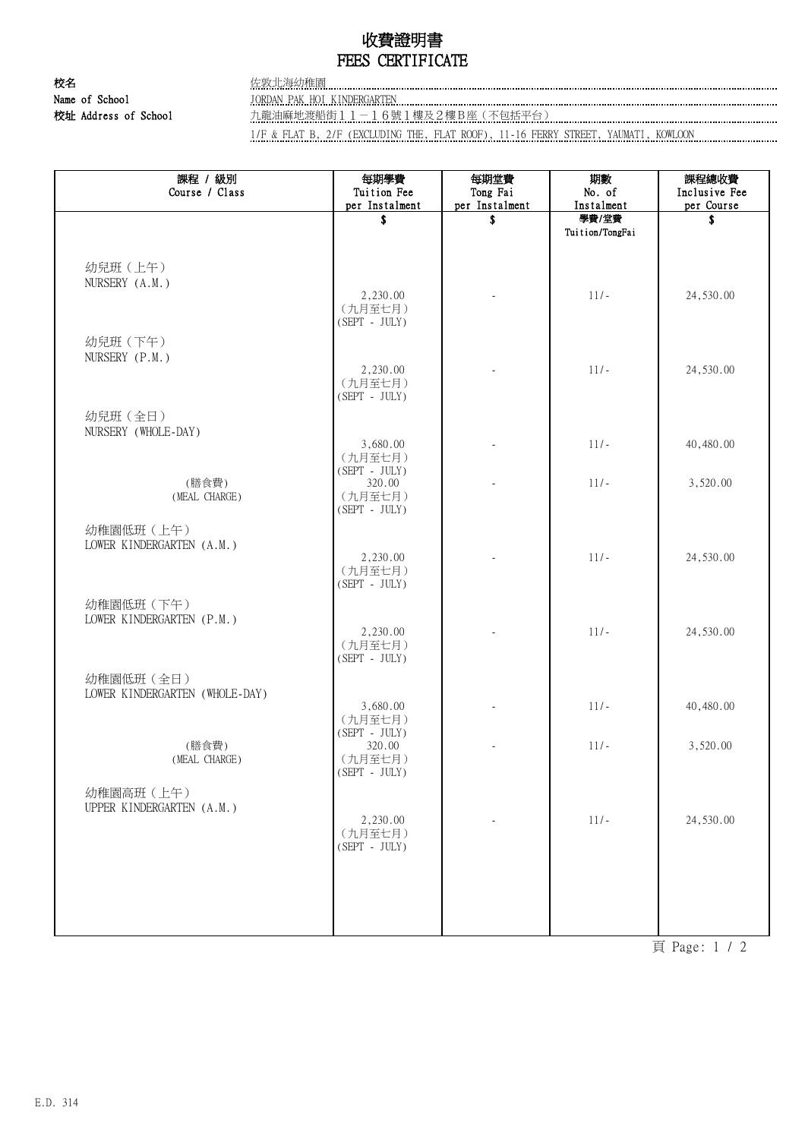## 收費證明書 FEES CERTIFICATE

校名 さんじょう おおおとこ 佐敦北海幼稚園 Name of School JORDAN PAK HOI KINDERGARTEN COMPONER CONTENTEN CONTENTS OF SCHOOL

校址 Address of School 九龍油麻地渡船街11-16號1樓及2樓B座(不包括平台)

1/F & FLAT B, 2/F (EXCLUDING THE, FLAT ROOF), 11-16 FERRY STREET, YAUMATI, KOWLOON

| 課程 / 級別<br>Course / Class      | 每期學費<br>Tuition Fee | 每期堂費<br>Tong Fai | 期數<br>No. of    | 課程總收費<br>Inclusive Fee |
|--------------------------------|---------------------|------------------|-----------------|------------------------|
|                                | per Instalment      | per Instalment   | Instalment      | per Course             |
|                                | \$                  | \$               | 學費/堂費           | \$                     |
|                                |                     |                  | Tuition/TongFai |                        |
|                                |                     |                  |                 |                        |
| 幼兒班 (上午)                       |                     |                  |                 |                        |
| NURSERY (A.M.)                 | 2,230.00            |                  | $11/-$          | 24,530.00              |
|                                | (九月至七月)             |                  |                 |                        |
|                                | $(SEPT - JULY)$     |                  |                 |                        |
| 幼兒班 (下午)                       |                     |                  |                 |                        |
| NURSERY (P.M.)                 |                     |                  |                 |                        |
|                                | 2,230.00            |                  | $11/-$          | 24,530.00              |
|                                | (九月至七月)             |                  |                 |                        |
|                                | $(SEPT - JULY)$     |                  |                 |                        |
| 幼兒班(全日)                        |                     |                  |                 |                        |
| NURSERY (WHOLE-DAY)            |                     |                  |                 |                        |
|                                | 3,680.00<br>(九月至七月) |                  | $11/-$          | 40,480.00              |
|                                | $(SEPT - JULY)$     |                  |                 |                        |
| (膳食費)                          | 320.00              |                  | $11/-$          | 3,520.00               |
| (MEAL CHARGE)                  | (九月至七月)             |                  |                 |                        |
|                                | $(SEPT - JULY)$     |                  |                 |                        |
| 幼稚園低班 (上午)                     |                     |                  |                 |                        |
| LOWER KINDERGARTEN (A.M.)      |                     |                  |                 |                        |
|                                | 2,230.00<br>(九月至七月) |                  | $11/-$          | 24,530.00              |
|                                | $(SEPT - JULY)$     |                  |                 |                        |
| 幼稚園低班 (下午)                     |                     |                  |                 |                        |
| LOWER KINDERGARTEN (P.M.)      |                     |                  |                 |                        |
|                                | 2,230.00            |                  | $11/-$          | 24,530.00              |
|                                | (九月至七月)             |                  |                 |                        |
|                                | $(SEPT - JULY)$     |                  |                 |                        |
| 幼稚園低班 (全日)                     |                     |                  |                 |                        |
| LOWER KINDERGARTEN (WHOLE-DAY) |                     |                  |                 |                        |
|                                | 3,680.00<br>(九月至七月) |                  | $11/-$          | 40,480.00              |
|                                | $(SEPT - JULY)$     |                  |                 |                        |
| (膳食費)                          | 320.00              |                  | $11/-$          | 3,520.00               |
| (MEAL CHARGE)                  | (九月至七月)             |                  |                 |                        |
|                                | $(SEPT - JULY)$     |                  |                 |                        |
| 幼稚園高班 (上午)                     |                     |                  |                 |                        |
| UPPER KINDERGARTEN (A.M.)      |                     |                  |                 |                        |
|                                | 2,230.00<br>(九月至七月) |                  | $11/-$          | 24,530.00              |
|                                | $(SEPT - JULY)$     |                  |                 |                        |
|                                |                     |                  |                 |                        |
|                                |                     |                  |                 |                        |
|                                |                     |                  |                 |                        |
|                                |                     |                  |                 |                        |
|                                |                     |                  |                 |                        |

頁 Page: 1 / 2